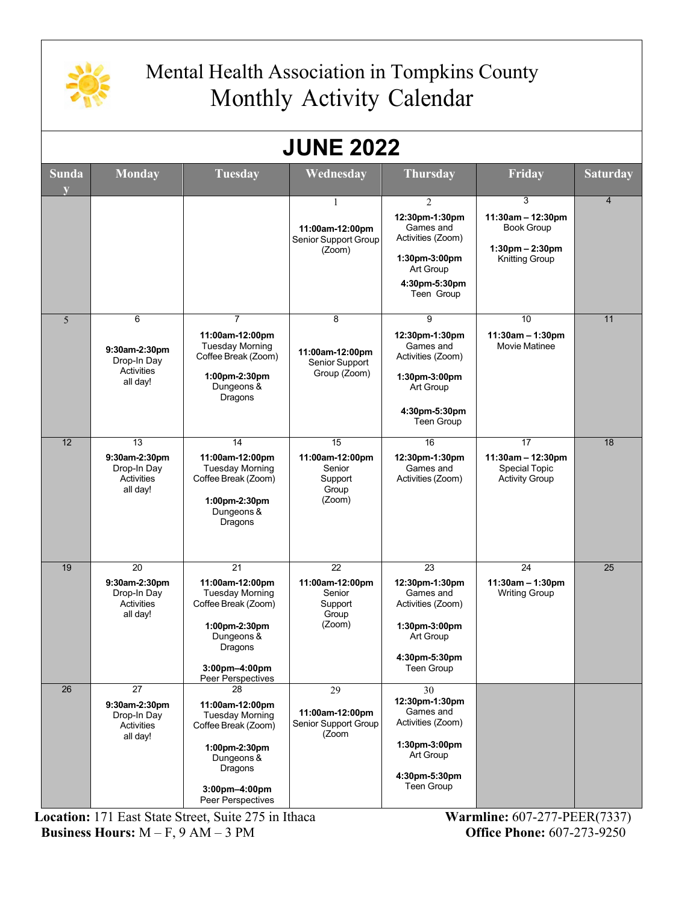

## Mental Health Association in Tompkins County Monthly Activity Calendar

| <b>JUNE 2022</b> |                                                                     |                                                                                                                                                        |                                                               |                                                                                                                                 |                                                                                         |                 |
|------------------|---------------------------------------------------------------------|--------------------------------------------------------------------------------------------------------------------------------------------------------|---------------------------------------------------------------|---------------------------------------------------------------------------------------------------------------------------------|-----------------------------------------------------------------------------------------|-----------------|
| <b>Sunda</b>     | <b>Monday</b>                                                       | <b>Tuesday</b>                                                                                                                                         | Wednesday                                                     | <b>Thursday</b>                                                                                                                 | <b>Friday</b>                                                                           | <b>Saturday</b> |
|                  |                                                                     |                                                                                                                                                        | 1<br>11:00am-12:00pm<br>Senior Support Group<br>(Zoom)        | $\overline{2}$<br>12:30pm-1:30pm<br>Games and<br>Activities (Zoom)<br>1:30pm-3:00pm<br>Art Group<br>4:30pm-5:30pm<br>Teen Group | 3<br>11:30am - 12:30pm<br><b>Book Group</b><br>1:30pm - 2:30pm<br><b>Knitting Group</b> | $\overline{4}$  |
| 5                | 6<br>9:30am-2:30pm<br>Drop-In Day<br><b>Activities</b><br>all day!  | $\overline{7}$<br>11:00am-12:00pm<br><b>Tuesday Morning</b><br>Coffee Break (Zoom)<br>1:00pm-2:30pm<br>Dungeons &<br>Dragons                           | 8<br>11:00am-12:00pm<br>Senior Support<br>Group (Zoom)        | 9<br>12:30pm-1:30pm<br>Games and<br>Activities (Zoom)<br>1:30pm-3:00pm<br>Art Group<br>4:30pm-5:30pm<br>Teen Group              | 10<br>$11:30am - 1:30pm$<br><b>Movie Matinee</b>                                        | 11              |
| 12               | 13<br>9:30am-2:30pm<br>Drop-In Day<br>Activities<br>all day!        | 14<br>11:00am-12:00pm<br><b>Tuesday Morning</b><br>Coffee Break (Zoom)<br>1:00pm-2:30pm<br>Dungeons &<br>Dragons                                       | 15<br>11:00am-12:00pm<br>Senior<br>Support<br>Group<br>(Zoom) | 16<br>12:30pm-1:30pm<br>Games and<br>Activities (Zoom)                                                                          | 17<br>$11:30am - 12:30pm$<br><b>Special Topic</b><br><b>Activity Group</b>              | 18              |
| 19               | 20<br>9:30am-2:30pm<br>Drop-In Day<br><b>Activities</b><br>all day! | 21<br>11:00am-12:00pm<br><b>Tuesday Morning</b><br>Coffee Break (Zoom)<br>1:00pm-2:30pm<br>Dungeons &<br>Dragons<br>3:00pm-4:00pm<br>Peer Perspectives | 22<br>11:00am-12:00pm<br>Senior<br>Support<br>Group<br>(Zoom) | 23<br>12:30pm-1:30pm<br>Games and<br>Activities (Zoom)<br>1:30pm-3:00pm<br>Art Group<br>4:30pm-5:30pm<br>Teen Group             | 24<br>$11:30am - 1:30pm$<br><b>Writing Group</b>                                        | $\overline{25}$ |
| 26               | 27<br>9:30am-2:30pm<br>Drop-In Day<br>Activities<br>all day!        | 28<br>11:00am-12:00pm<br><b>Tuesday Morning</b><br>Coffee Break (Zoom)<br>1:00pm-2:30pm<br>Dungeons &<br>Dragons<br>3:00pm-4:00pm<br>Peer Perspectives | 29<br>11:00am-12:00pm<br>Senior Support Group<br>(Zoom        | 30<br>12:30pm-1:30pm<br>Games and<br>Activities (Zoom)<br>1:30pm-3:00pm<br>Art Group<br>4:30pm-5:30pm<br>Teen Group             |                                                                                         |                 |

**Location:** 171 East State Street, Suite 275 in Ithaca **Warmline:** 607-277-PEER(7337) **Business Hours:** M – F, 9 AM – 3 PM **Office Phone:** 607-273-9250